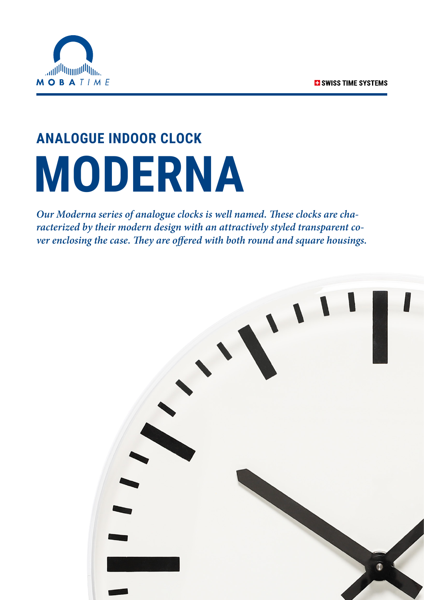

# **ANALOGUE INDOOR CLOCK MODERNA**

*Our Moderna series of analogue clocks is well named. These clocks are characterized by their modern design with an attractively styled transparent cover enclosing the case. They are offered with both round and square housings.*

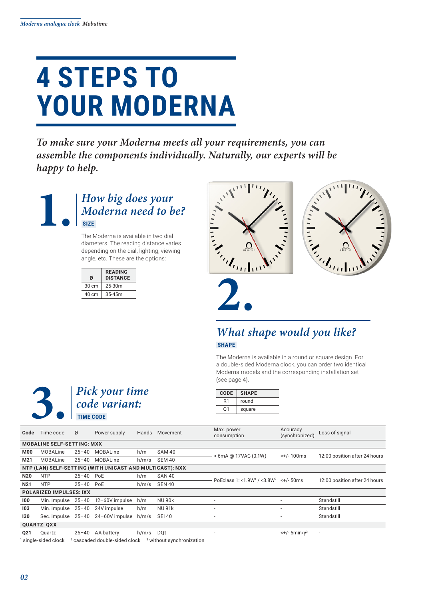### **4 STEPS TO YOUR MODERNA**

*To make sure your Moderna meets all your requirements, you can assemble the components individually. Naturally, our experts will be happy to help.*



The Moderna is available in two dial diameters. The reading distance varies depending on the dial, lighting, viewing angle, etc. These are the options:

| Ø               | <b>READING</b><br><b>DISTANCE</b> |
|-----------------|-----------------------------------|
| $30 \text{ cm}$ | $25-30m$                          |
| 40 cm           | $35 - 45m$                        |
|                 |                                   |





#### *What shape would you like?*  **SHAPE**

The Moderna is available in a round or square design. For a double-sided Moderna clock, you can order two identical Moderna models and the corresponding installation set (see page 4).



| <b>CODE</b> | <b>SHAPE</b> |
|-------------|--------------|
| R1          | round        |
| በ1          | square       |
|             |              |

| Code                           | Time code                                                | Ø         | Power supply                      | Hands | Movement                                                       | Max. power<br>consumption                                     | Accuracy<br>(synchronized)           | Loss of signal                |
|--------------------------------|----------------------------------------------------------|-----------|-----------------------------------|-------|----------------------------------------------------------------|---------------------------------------------------------------|--------------------------------------|-------------------------------|
|                                | <b>MOBALINE SELF-SETTING: MXX</b>                        |           |                                   |       |                                                                |                                                               |                                      |                               |
| <b>M00</b>                     | MOBALine                                                 | $25 - 40$ | MOBALine                          | h/m   | SAM 40                                                         | $< 6$ mA @ 17VAC (0.1W)                                       | $<$ +/-100 $ms$                      | 12:00 position after 24 hours |
| M21                            | <b>MOBALine</b>                                          | $25 - 40$ | MOBALine                          | h/m/s | SEM 40                                                         |                                                               |                                      |                               |
|                                | NTP (LAN) SELF-SETTING (WITH UNICAST AND MULTICAST): NXX |           |                                   |       |                                                                |                                                               |                                      |                               |
| <b>N20</b>                     | <b>NTP</b>                                               | 25-40 PoE |                                   | h/m   | <b>SAN 40</b>                                                  | PoEclass 1: <1.9W <sup>1</sup> / <3.8W <sup>2</sup> <+/- 50ms |                                      | 12:00 position after 24 hours |
| <b>N21</b>                     | <b>NTP</b>                                               | 25-40 PoE |                                   | h/m/s | <b>SEN 40</b>                                                  |                                                               |                                      |                               |
| <b>POLARIZED IMPULSES: IXX</b> |                                                          |           |                                   |       |                                                                |                                                               |                                      |                               |
| 100                            |                                                          |           | Min. impulse 25-40 12-60V impulse | h/m   | <b>NU 90k</b>                                                  |                                                               |                                      | Standstill                    |
| 103                            | Min. impulse 25-40 24V impulse                           |           |                                   | h/m   | <b>NU 91k</b>                                                  |                                                               |                                      | Standstill                    |
| 130                            |                                                          |           | Sec. impulse 25-40 24-60V impulse | h/m/s | <b>SEI 40</b>                                                  | $\overline{\phantom{a}}$                                      |                                      | Standstill                    |
| <b>QUARTZ: QXX</b>             |                                                          |           |                                   |       |                                                                |                                                               |                                      |                               |
| 021                            | Quartz                                                   | $25 - 40$ | AA battery                        | h/m/s | DOt                                                            | $\overline{\phantom{a}}$                                      | $\leftarrow +/-$ 5min/y <sup>3</sup> | $\blacksquare$                |
|                                | والمملم اممامنم ملممنم                                   |           |                                   |       | accorded deuble sided algebraic. 3 without evening instigation |                                                               |                                      |                               |

1 single-sided clock 2 <sup>2</sup> cascaded double-sided clock <sup>3</sup> without synchronization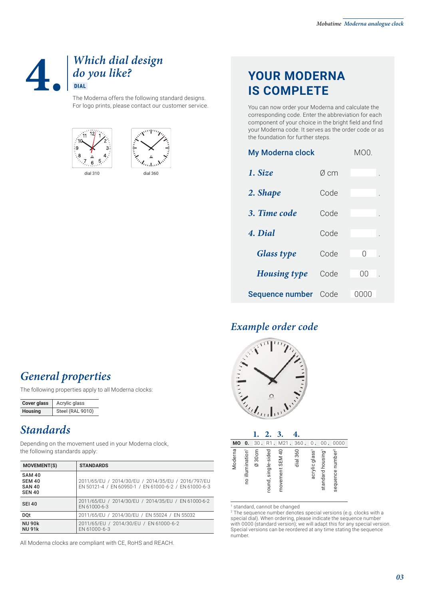#### **4.** *Which dial design do you like?*  **DIAL**

The Moderna offers the following standard designs. For logo prints, please contact our customer service.





### **YOUR MODERNA IS COMPLETE**

You can now order your Moderna and calculate the corresponding code. Enter the abbreviation for each component of your choice in the bright field and find your Moderna code. It serves as the order code or as the foundation for further steps.

| <b>My Moderna clock</b> |      | MO0.    |  |
|-------------------------|------|---------|--|
| 1. Size                 | Ø cm |         |  |
| 2. Shape                | Code |         |  |
| 3. Time code            | Code |         |  |
| 4. Dial                 | Code |         |  |
| <b>Glass type</b>       | Code | Ω       |  |
| <b>Housing type</b>     | Code | ΩO      |  |
| Sequence number         | Code | U(U(1)) |  |

#### *Example order code*



| <b>MO</b><br>0.            | 30.       | R1                  | M21             | 360<br>$\overline{a}$ | 0                          | 00                            | 0000                         |
|----------------------------|-----------|---------------------|-----------------|-----------------------|----------------------------|-------------------------------|------------------------------|
| Moderna<br>no illumination | 30cm<br>Ø | round, single-sided | movement SEM 40 | dia1360               | acrylic glass <sup>1</sup> | standard housing <sup>1</sup> | sequence number <sup>2</sup> |

#### *General properties*

The following properties apply to all Moderna clocks:

| <b>Cover glass</b> | Acrylic glass    |  |  |
|--------------------|------------------|--|--|
| <b>Housing</b>     | Steel (RAL 9010) |  |  |

#### *Standards*

Depending on the movement used in your Moderna clock, the following standards apply:

| <b>MOVEMENT(S)</b>                                               | <b>STANDARDS</b>                                                                                            |
|------------------------------------------------------------------|-------------------------------------------------------------------------------------------------------------|
| <b>SAM 40</b><br><b>SEM 40</b><br><b>SAN 40</b><br><b>SEN 40</b> | 2011/65/EU / 2014/30/EU / 2014/35/EU / 2016/797/EU<br>EN 50121-4 / EN 60950-1 / EN 61000-6-2 / EN 61000-6-3 |
| <b>SFI40</b>                                                     | 2011/65/EU / 2014/30/EU / 2014/35/EU / EN 61000-6-2<br>EN 61000-6-3                                         |
| <b>DQt</b>                                                       | 2011/65/EU / 2014/30/EU / EN 55024 / EN 55032                                                               |
| <b>NU 90k</b><br><b>NU 91k</b>                                   | 2011/65/EU / 2014/30/EU / EN 61000-6-2<br>EN 61000-6-3                                                      |

All Moderna clocks are compliant with CE, RoHS and REACH.

<sup>1</sup> standard, cannot be changed 2 The sequence number denotes special versions (e.g. clocks with a special dial). When ordering, please indicate the sequence number with 0000 (standard version); we will adapt this for any special version. Special versions can be reordered at any time stating the sequence number.